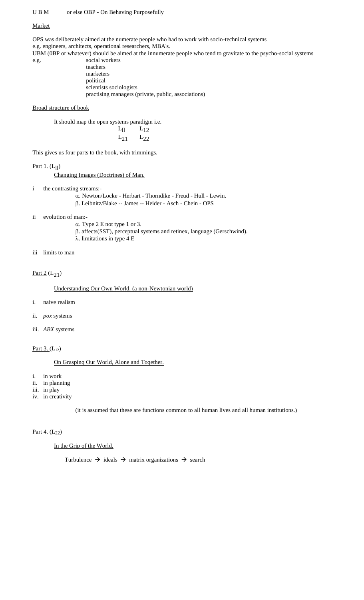#### U B M or else OBP - On Behaving Purposefully

#### Market

OPS was deliberately aimed at the numerate people who had to work with socio-technical systems e.g. engineers, architects, operational researchers, MBA's. UBM (0BP or whatever) should be aimed at the innumerate people who tend to gravitate to the psycho-social systems

e.g. social workers teachers marketers political scientists sociologists practising managers (private, public, associations)

#### Broad structure of book

It should map the open systems paradigm i.e.

|          | $L_{12}$ |
|----------|----------|
| $L_{21}$ | 02       |

This gives us four parts to the book, with trimmings.

#### Part 1.  $(L_{11})$

Changing Images (Doctrines) of Man.

- i the contrasting streams:-
	- . Newton/Locke Herbart Thorndike Freud Hull Lewin. . Leibnitz/Blake -- James -- Heider - Asch - Chein - OPS
- ii evolution of man:-
	- $\alpha$ . Type 2 E not type 1 or 3.
	- . affects(SST), perceptual systems and retinex, language (Gerschwind).  $\lambda$ . limitations in type 4 E
- iii limits to man

### Part  $2(L_{21})$

Understanding Our Own World. (a non-Newtonian world)

- i. naive realism
- ii. *pox* systems
- iii. *ABX* systems

Part  $3. (L_{12})$ 

On Graspinq Our World, Alone and Toqether.

i. in work

- ii. in planning
- iii. in play
- iv. in creativity

(it is assumed that these are functions common to all human lives and all human institutions.)

### Part 4.  $(L_{22})$

#### In the Grip of the World.

Turbulence  $\rightarrow$  ideals  $\rightarrow$  matrix organizations  $\rightarrow$  search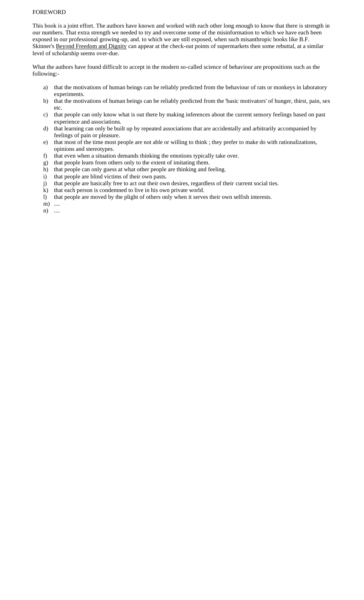#### FOREWORD

This book is a joint effort. The authors have known and worked with each other long enough to know that there is strength in our numbers. That extra strength we needed to try and overcome some of the misinformation to which we have each been exposed in our professional growing-up, and. to which we are still exposed, when such misanthropic books like B.F. Skinner's Beyond Freedom and Dignity can appear at the check-out points of supermarkets then some rebuttal, at a similar level of scholarship seems over-due.

What the authors have found difficult to accept in the modern so-called science of behaviour are propositions such as the following:-

- a) that the motivations of human beings can be reliably predicted from the behaviour of rats or monkeys in laboratory experiments.
- b) that the motivations of human beings can be reliably predicted from the 'basic motivators' of hunger, thirst, pain, sex etc.
- c) that people can only know what is out there by making inferences about the current sensory feelings based on past experience and associations.
- d) that learning can only be built up by repeated associations that are accidentally and arbitrarily accompanied by feelings of pain or pleasure.
- e) that most of the time most people are not able or willing to think ; they prefer to make do with rationalizations, opinions and stereotypes.
- f) that even when a situation demands thinking the emotions typically take over.
- g) that people learn from others only to the extent of imitating them.
- h) that people can only guess at what other people are thinking and feeling.
- i) that people are blind victims of their own pasts.
- j) that people are basically free to act out their own desires, regardless of their current social ties.
- k) that each person is condemned to live in his own private world.
- l) that people are moved by the plight of others only when it serves their own selfish interests.

m) ....

n) ....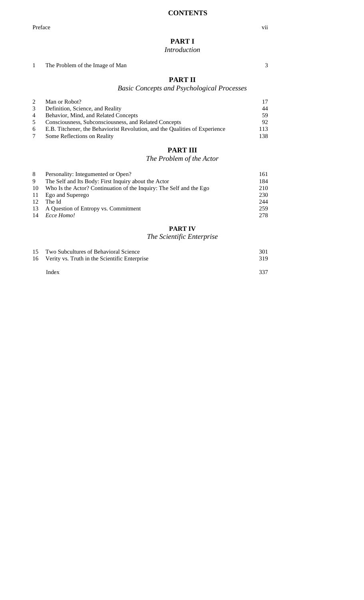# **PART I**

### *Introduction*

1 The Problem of the Image of Man 3

# **PART II**

# *Basic Concepts and Psychological Processes*

| 2 | Man or Robot?                                                                 |     |
|---|-------------------------------------------------------------------------------|-----|
| 3 | Definition, Science, and Reality                                              |     |
|   | 4 Behavior, Mind, and Related Concepts                                        | 59  |
| 5 | Consciousness, Subconsciousness, and Related Concepts                         | 92  |
|   | 6 E.B. Titchener, the Behaviorist Revolution, and the Qualities of Experience | 113 |
|   | Some Reflections on Reality                                                   | 138 |

# **PART III**

# *The Problem of the Actor*

| 8  | Personality: Integumented or Open?                                  | 161 |
|----|---------------------------------------------------------------------|-----|
| 9  | The Self and Its Body: First Inquiry about the Actor                | 184 |
| 10 | Who Is the Actor? Continuation of the Inquiry: The Self and the Ego | 210 |
| 11 | Ego and Superego                                                    | 230 |
| 12 | The Id                                                              | 244 |
|    | 13 A Question of Entropy vs. Commitment                             | 259 |
|    | 14 <i>Ecce Homo!</i>                                                | 278 |
|    |                                                                     |     |

# **PART IV**

# *The Scientific Enterprise*

| 15 Two Subcultures of Behavioral Science<br>16 Verity vs. Truth in the Scientific Enterprise | 301<br>319 |
|----------------------------------------------------------------------------------------------|------------|
| Index                                                                                        | 337        |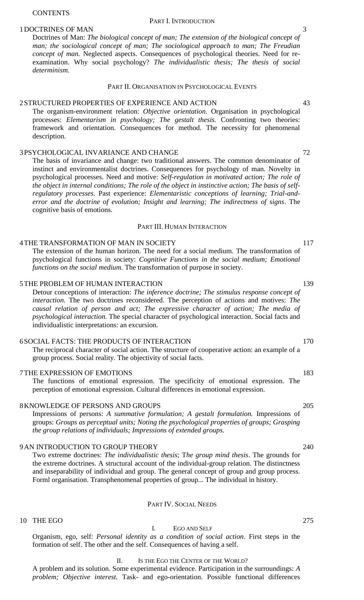#### **CONTENTS**

#### PART I. INTRODUCTION

# 1 DOCTRINES OF MAN 3

Doctrines of Man: *The biological concept of man; The extension of the biological concept of man; the sociological concept of man; The sociological approach to man; The Freudian concept of man.* Neglected aspects. Consequences of psychological theories. Need for reexamination. Why social psychology? *The individualistic thesis; The thesis of social determinism.*

### PART II. ORGANISATION IN PSYCHOLOGICAL EVENTS

# 2STRUCTURED PROPERTIES OF EXPERIENCE AND ACTION 43

The organism-environment relation: *Objective orientation*. Organisation in psychological processes: *Elementarism in psychology; The gestalt thesis*. Confronting two theories: framework and orientation. Consequences for method. The necessity for phenomenal description.

# 3PSYCHOLOGICAL INVARIANCE AND CHANGE 72

The basis of invariance and change: two traditional answers. The common denominator of instinct and environmentalist doctrines. Consequences for psychology of man. Novelty in psychological processes. Need and motive: *Self-regulation in motivated action; The role of the object in internal conditions; The role of the object in instinctive action; The basis of selfregulatory processes*. Past experience: *Elementaristic conceptions of learning; Trial-anderror and the doctrine of evolution; Insight and learning; The indirectness of signs*. The cognitive basis of emotions.

### PART III. HUMAN INTERACTION

# 4THE TRANSFORMATION OF MAN IN SOCIETY 117

The extension of the human horizon. The need for a social medium. The transformation of psychological functions in society: *Cognitive Functions in the social medium; Emotional functions on the social medium.* The transformation of purpose in society.

#### 5THE PROBLEM OF HUMAN INTERACTION 139

Detour conceptions of interaction: *The inference doctrine; The stimulus response concept of interaction.* The two doctrines reconsidered. The perception of actions and motives: *The causal relation of person and act; The expressive character of action; The media of psychological interaction.* The special character of psychological interaction. Social facts and individualistic interpretations: an excursion.

# 6SOCIAL FACTS: THE PRODUCTS OF INTERACTION 170

The reciprocal character of social action. The structure of cooperative action: an example of a group process. Social reality. The objectivity of social facts.

# 7THE EXPRESSION OF EMOTIONS 183

The functions of emotional expression. The specificity of emotional expression. The perception of emotional expression. Cultural differences in emotional expression.

# 8KNOWLEDGE OF PERSONS AND GROUPS 205

Impressions of persons: *A summative formulation; A gestalt formulation.* Impressions of groups: *Groups as perceptual units; Noting the psychological properties of groups; Grasping the group relations of individuals; Impressions of extended groups.*

# 9 AN INTRODUCTION TO GROUP THEORY 240

Two extreme doctrines: *The individualistic thesis*; T*he group mind thesis*. The grounds for the extreme doctrines. A structural account of the individual-group relation. The distinctness and inseparability of individual and group. The general concept of group and group process. Forml organisation. Transphenomenal properties of group... The individual in history.

## PART IV. SOCIAL NEEDS

# I. EGO AND SELF Organism, ego, self: *Personal identity as a condition of social action*. First steps in the formation of self. The other and the self. Consequences of having a self.

### II. IS THE EGO THE CENTER OF THE WORLD?

A problem and its solution. Some experimental evidence. Participation in the surroundings: *A problem; Objective interest.* Task- and ego-orientation. Possible functional differences

10 THE EGO 275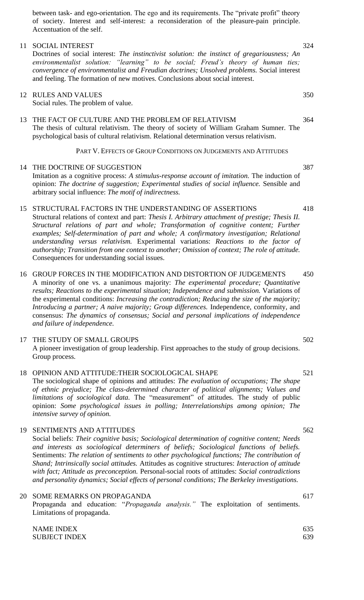between task- and ego-orientation. The ego and its requirements. The "private profit" theory of society. Interest and self-interest: a reconsideration of the pleasure-pain principle. Accentuation of the self.

# 11 SOCIAL INTEREST 324

Doctrines of social interest: *The instinctivist solution: the instinct of gregariousness; An environmentalist solution: "learning" to be social; Freud's theory of human ties; convergence of environmentalist and Freudian doctrines; Unsolved problems.* Social interest and feeling. The formation of new motives. Conclusions about social interest.

# 12 RULES AND VALUES 350

Social rules. The problem of value.

13 THE FACT OF CULTURE AND THE PROBLEM OF RELATIVISM 364 The thesis of cultural relativism. The theory of society of William Graham Sumner. The psychological basis of cultural relativism. Relational determination versus relativism.

## PART V. EFFECTS OF GROUP CONDITIONS ON JUDGEMENTS AND ATTITUDES

# 14 THE DOCTRINE OF SUGGESTION 387

- Imitation as a cognitive process: *A stimulus-response account of imitation.* The induction of opinion: *The doctrine of suggestion; Experimental studies of social influence.* Sensible and arbitrary social influence: *The motif of indirectness.*
- 15 STRUCTURAL FACTORS IN THE UNDERSTANDING OF ASSERTIONS 418 Structural relations of context and part: *Thesis I. Arbitrary attachment of prestige; Thesis II. Structural relations of part and whole; Transformation of cognitive content; Further examples; Self-determination of part and whole; A confirmatory investigation; Relational understanding versus relativism.* Experimental variations: *Reactions to the factor of authorship; Transition from one context to another; Omission of context; The role of attitude.* Consequences for understanding social issues.
- 16 GROUP FORCES IN THE MODIFICATION AND DISTORTION OF JUDGEMENTS 450 A minority of one vs. a unanimous majority: *The experimental procedure; Quantitative results; Reactions to the experimental situation; Independence and submission.* Variations of the experimental conditions: *Increasing the contradiction; Reducing the size of the majority; Introducing a partner; A naive majority; Group differences.* Independence, conformity, and consensus: *The dynamics of consensus; Social and personal implications of independence and failure of independence.*

# 17 THE STUDY OF SMALL GROUPS 502 A pioneer investigation of group leadership. First approaches to the study of group decisions. Group process.

18 OPINION AND ATTITUDE: THEIR SOCIOLOGICAL SHAPE 521 The sociological shape of opinions and attitudes: *The evaluation of occupations; The shape of ethnic prejudice; The class-determined character of political alignments; Values and limitations of sociological data.* The "measurement" of attitudes. The study of public opinion: *Some psychological issues in polling; Interrelationships among opinion; The intensive survey of opinion.*

# 19 SENTIMENTS AND ATTITUDES 562 Social beliefs: *Their cognitive basis; Sociological determination of cognitive content; Needs and interests as sociological determiners of beliefs; Sociological functions of beliefs.* Sentiments: *The relation of sentiments to other psychological functions; The contribution of Shand; Intrinsically social attitudes.* Attitudes as cognitive structures: *Interaction of attitude with fact; Attitude as preconception.* Personal-social roots of attitudes: *Social contradictions and personality dynamics; Social effects of personal conditions; The Berkeley investigations.*

# 20 SOME REMARKS ON PROPAGANDA 617

Propaganda and education: "*Propaganda analysis."* The exploitation of sentiments. Limitations of propaganda.

NAME INDEX 635 SUBJECT INDEX 639